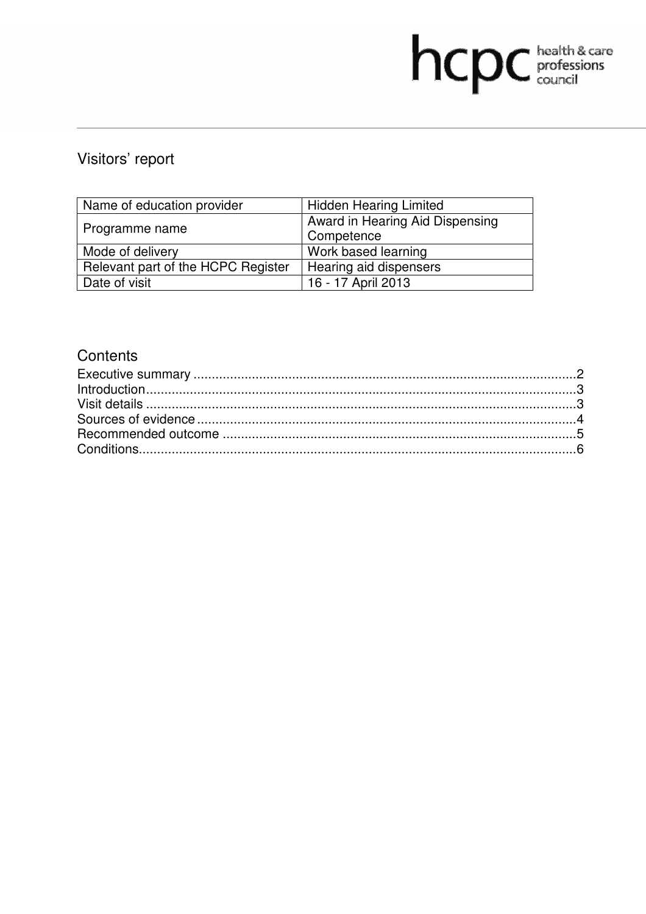# Visitors' report

| Name of education provider         | <b>Hidden Hearing Limited</b>   |  |
|------------------------------------|---------------------------------|--|
|                                    | Award in Hearing Aid Dispensing |  |
| Programme name                     | Competence                      |  |
| Mode of delivery                   | Work based learning             |  |
| Relevant part of the HCPC Register | Hearing aid dispensers          |  |
| Date of visit                      | 16 - 17 April 2013              |  |

hcpc bealth & care

# **Contents**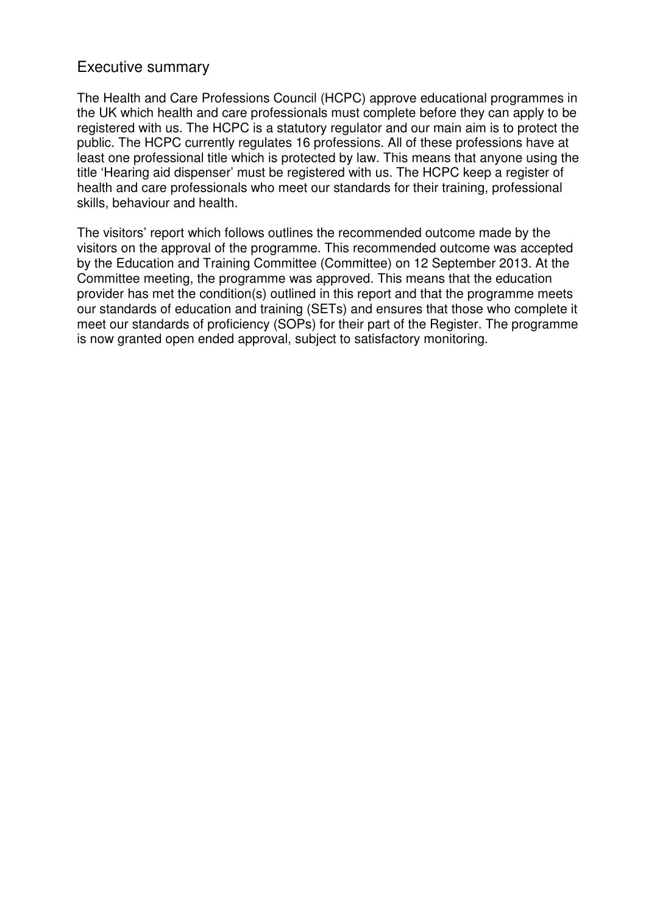# Executive summary

The Health and Care Professions Council (HCPC) approve educational programmes in the UK which health and care professionals must complete before they can apply to be registered with us. The HCPC is a statutory regulator and our main aim is to protect the public. The HCPC currently regulates 16 professions. All of these professions have at least one professional title which is protected by law. This means that anyone using the title 'Hearing aid dispenser' must be registered with us. The HCPC keep a register of health and care professionals who meet our standards for their training, professional skills, behaviour and health.

The visitors' report which follows outlines the recommended outcome made by the visitors on the approval of the programme. This recommended outcome was accepted by the Education and Training Committee (Committee) on 12 September 2013. At the Committee meeting, the programme was approved. This means that the education provider has met the condition(s) outlined in this report and that the programme meets our standards of education and training (SETs) and ensures that those who complete it meet our standards of proficiency (SOPs) for their part of the Register. The programme is now granted open ended approval, subject to satisfactory monitoring.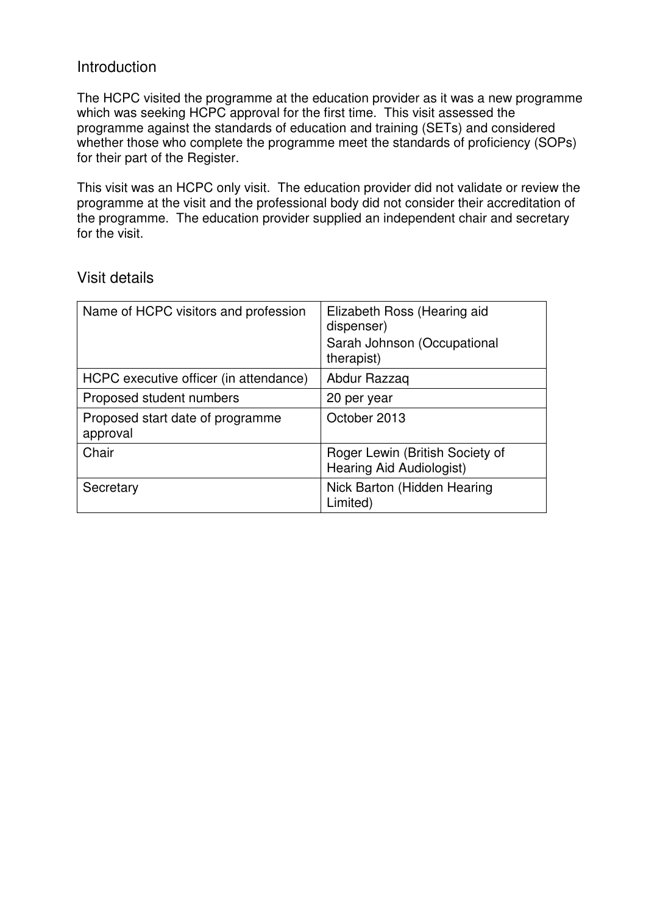# Introduction

The HCPC visited the programme at the education provider as it was a new programme which was seeking HCPC approval for the first time. This visit assessed the programme against the standards of education and training (SETs) and considered whether those who complete the programme meet the standards of proficiency (SOPs) for their part of the Register.

This visit was an HCPC only visit. The education provider did not validate or review the programme at the visit and the professional body did not consider their accreditation of the programme. The education provider supplied an independent chair and secretary for the visit.

## Name of HCPC visitors and profession  $\vert$  Elizabeth Ross (Hearing aid dispenser) Sarah Johnson (Occupational therapist) HCPC executive officer (in attendance) | Abdur Razzaq Proposed student numbers 20 per year Proposed start date of programme approval October 2013 Chair **Chair** Roger Lewin (British Society of Hearing Aid Audiologist) Secretary **Nick Barton (Hidden Hearing** Limited)

# Visit details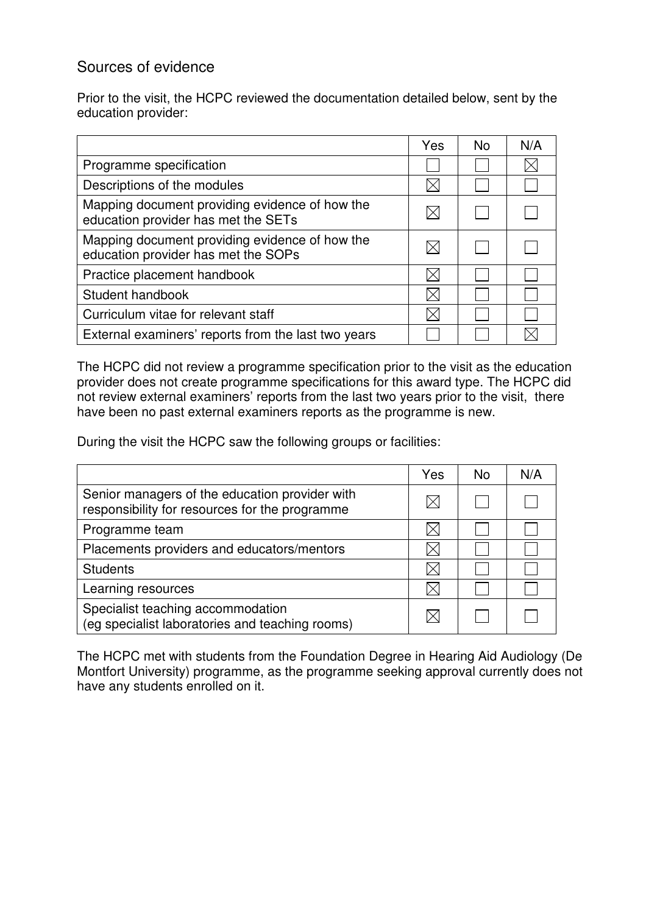# Sources of evidence

Prior to the visit, the HCPC reviewed the documentation detailed below, sent by the education provider:

|                                                                                       | Yes | <b>No</b> | N/A |
|---------------------------------------------------------------------------------------|-----|-----------|-----|
| Programme specification                                                               |     |           |     |
| Descriptions of the modules                                                           |     |           |     |
| Mapping document providing evidence of how the<br>education provider has met the SETs |     |           |     |
| Mapping document providing evidence of how the<br>education provider has met the SOPs |     |           |     |
| Practice placement handbook                                                           |     |           |     |
| Student handbook                                                                      |     |           |     |
| Curriculum vitae for relevant staff                                                   |     |           |     |
| External examiners' reports from the last two years                                   |     |           |     |

The HCPC did not review a programme specification prior to the visit as the education provider does not create programme specifications for this award type. The HCPC did not review external examiners' reports from the last two years prior to the visit, there have been no past external examiners reports as the programme is new.

During the visit the HCPC saw the following groups or facilities:

|                                                                                                  | Yes | N <sub>0</sub> | N/A |
|--------------------------------------------------------------------------------------------------|-----|----------------|-----|
| Senior managers of the education provider with<br>responsibility for resources for the programme |     |                |     |
| Programme team                                                                                   |     |                |     |
| Placements providers and educators/mentors                                                       |     |                |     |
| <b>Students</b>                                                                                  |     |                |     |
| Learning resources                                                                               |     |                |     |
| Specialist teaching accommodation<br>(eg specialist laboratories and teaching rooms)             |     |                |     |

The HCPC met with students from the Foundation Degree in Hearing Aid Audiology (De Montfort University) programme, as the programme seeking approval currently does not have any students enrolled on it.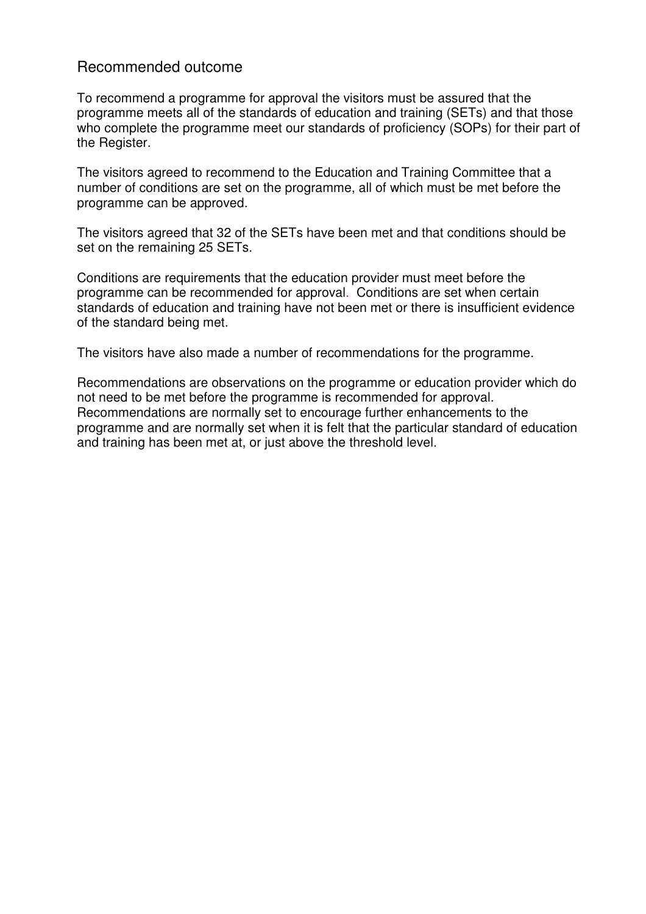# Recommended outcome

To recommend a programme for approval the visitors must be assured that the programme meets all of the standards of education and training (SETs) and that those who complete the programme meet our standards of proficiency (SOPs) for their part of the Register.

The visitors agreed to recommend to the Education and Training Committee that a number of conditions are set on the programme, all of which must be met before the programme can be approved.

The visitors agreed that 32 of the SETs have been met and that conditions should be set on the remaining 25 SETs.

Conditions are requirements that the education provider must meet before the programme can be recommended for approval. Conditions are set when certain standards of education and training have not been met or there is insufficient evidence of the standard being met.

The visitors have also made a number of recommendations for the programme.

Recommendations are observations on the programme or education provider which do not need to be met before the programme is recommended for approval. Recommendations are normally set to encourage further enhancements to the programme and are normally set when it is felt that the particular standard of education and training has been met at, or just above the threshold level.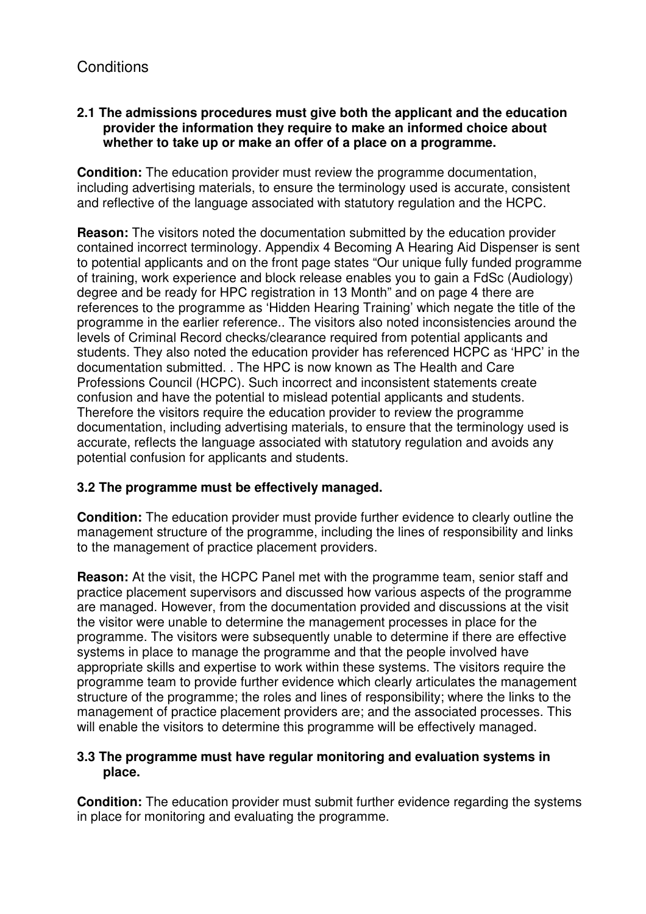#### **2.1 The admissions procedures must give both the applicant and the education provider the information they require to make an informed choice about whether to take up or make an offer of a place on a programme.**

**Condition:** The education provider must review the programme documentation, including advertising materials, to ensure the terminology used is accurate, consistent and reflective of the language associated with statutory regulation and the HCPC.

**Reason:** The visitors noted the documentation submitted by the education provider contained incorrect terminology. Appendix 4 Becoming A Hearing Aid Dispenser is sent to potential applicants and on the front page states "Our unique fully funded programme of training, work experience and block release enables you to gain a FdSc (Audiology) degree and be ready for HPC registration in 13 Month" and on page 4 there are references to the programme as 'Hidden Hearing Training' which negate the title of the programme in the earlier reference.. The visitors also noted inconsistencies around the levels of Criminal Record checks/clearance required from potential applicants and students. They also noted the education provider has referenced HCPC as 'HPC' in the documentation submitted. . The HPC is now known as The Health and Care Professions Council (HCPC). Such incorrect and inconsistent statements create confusion and have the potential to mislead potential applicants and students. Therefore the visitors require the education provider to review the programme documentation, including advertising materials, to ensure that the terminology used is accurate, reflects the language associated with statutory regulation and avoids any potential confusion for applicants and students.

## **3.2 The programme must be effectively managed.**

**Condition:** The education provider must provide further evidence to clearly outline the management structure of the programme, including the lines of responsibility and links to the management of practice placement providers.

**Reason:** At the visit, the HCPC Panel met with the programme team, senior staff and practice placement supervisors and discussed how various aspects of the programme are managed. However, from the documentation provided and discussions at the visit the visitor were unable to determine the management processes in place for the programme. The visitors were subsequently unable to determine if there are effective systems in place to manage the programme and that the people involved have appropriate skills and expertise to work within these systems. The visitors require the programme team to provide further evidence which clearly articulates the management structure of the programme; the roles and lines of responsibility; where the links to the management of practice placement providers are; and the associated processes. This will enable the visitors to determine this programme will be effectively managed.

#### **3.3 The programme must have regular monitoring and evaluation systems in place.**

**Condition:** The education provider must submit further evidence regarding the systems in place for monitoring and evaluating the programme.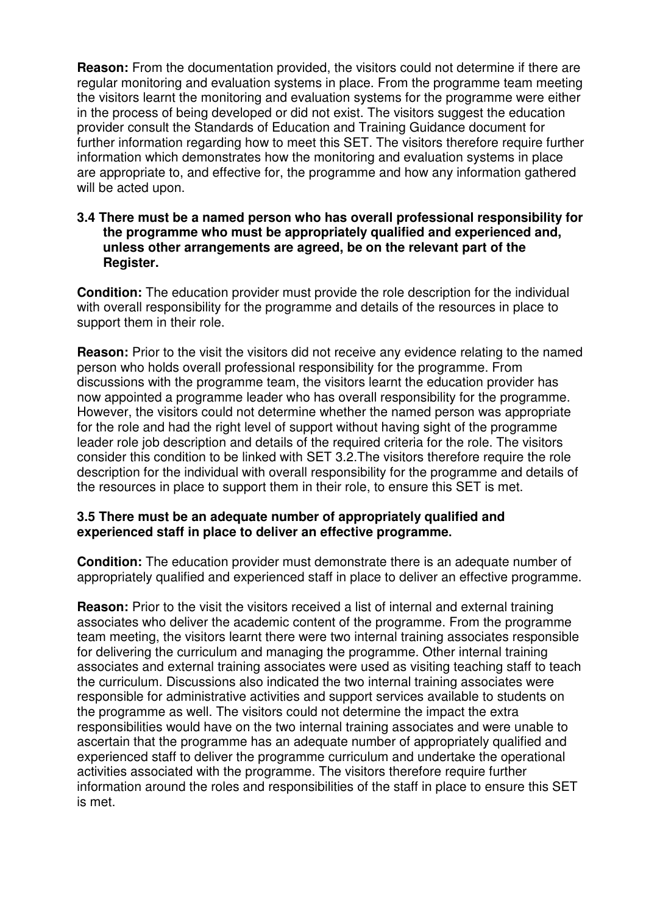**Reason:** From the documentation provided, the visitors could not determine if there are regular monitoring and evaluation systems in place. From the programme team meeting the visitors learnt the monitoring and evaluation systems for the programme were either in the process of being developed or did not exist. The visitors suggest the education provider consult the Standards of Education and Training Guidance document for further information regarding how to meet this SET. The visitors therefore require further information which demonstrates how the monitoring and evaluation systems in place are appropriate to, and effective for, the programme and how any information gathered will be acted upon.

#### **3.4 There must be a named person who has overall professional responsibility for the programme who must be appropriately qualified and experienced and, unless other arrangements are agreed, be on the relevant part of the Register.**

**Condition:** The education provider must provide the role description for the individual with overall responsibility for the programme and details of the resources in place to support them in their role.

**Reason:** Prior to the visit the visitors did not receive any evidence relating to the named person who holds overall professional responsibility for the programme. From discussions with the programme team, the visitors learnt the education provider has now appointed a programme leader who has overall responsibility for the programme. However, the visitors could not determine whether the named person was appropriate for the role and had the right level of support without having sight of the programme leader role job description and details of the required criteria for the role. The visitors consider this condition to be linked with SET 3.2.The visitors therefore require the role description for the individual with overall responsibility for the programme and details of the resources in place to support them in their role, to ensure this SET is met.

#### **3.5 There must be an adequate number of appropriately qualified and experienced staff in place to deliver an effective programme.**

**Condition:** The education provider must demonstrate there is an adequate number of appropriately qualified and experienced staff in place to deliver an effective programme.

**Reason:** Prior to the visit the visitors received a list of internal and external training associates who deliver the academic content of the programme. From the programme team meeting, the visitors learnt there were two internal training associates responsible for delivering the curriculum and managing the programme. Other internal training associates and external training associates were used as visiting teaching staff to teach the curriculum. Discussions also indicated the two internal training associates were responsible for administrative activities and support services available to students on the programme as well. The visitors could not determine the impact the extra responsibilities would have on the two internal training associates and were unable to ascertain that the programme has an adequate number of appropriately qualified and experienced staff to deliver the programme curriculum and undertake the operational activities associated with the programme. The visitors therefore require further information around the roles and responsibilities of the staff in place to ensure this SET is met.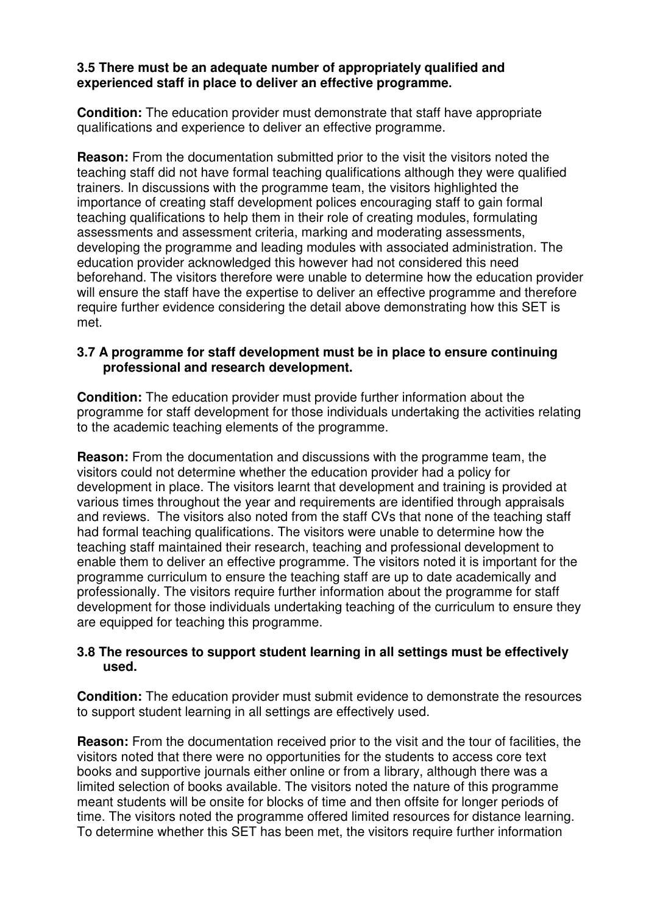#### **3.5 There must be an adequate number of appropriately qualified and experienced staff in place to deliver an effective programme.**

**Condition:** The education provider must demonstrate that staff have appropriate qualifications and experience to deliver an effective programme.

**Reason:** From the documentation submitted prior to the visit the visitors noted the teaching staff did not have formal teaching qualifications although they were qualified trainers. In discussions with the programme team, the visitors highlighted the importance of creating staff development polices encouraging staff to gain formal teaching qualifications to help them in their role of creating modules, formulating assessments and assessment criteria, marking and moderating assessments, developing the programme and leading modules with associated administration. The education provider acknowledged this however had not considered this need beforehand. The visitors therefore were unable to determine how the education provider will ensure the staff have the expertise to deliver an effective programme and therefore require further evidence considering the detail above demonstrating how this SET is met.

#### **3.7 A programme for staff development must be in place to ensure continuing professional and research development.**

**Condition:** The education provider must provide further information about the programme for staff development for those individuals undertaking the activities relating to the academic teaching elements of the programme.

**Reason:** From the documentation and discussions with the programme team, the visitors could not determine whether the education provider had a policy for development in place. The visitors learnt that development and training is provided at various times throughout the year and requirements are identified through appraisals and reviews. The visitors also noted from the staff CVs that none of the teaching staff had formal teaching qualifications. The visitors were unable to determine how the teaching staff maintained their research, teaching and professional development to enable them to deliver an effective programme. The visitors noted it is important for the programme curriculum to ensure the teaching staff are up to date academically and professionally. The visitors require further information about the programme for staff development for those individuals undertaking teaching of the curriculum to ensure they are equipped for teaching this programme.

#### **3.8 The resources to support student learning in all settings must be effectively used.**

**Condition:** The education provider must submit evidence to demonstrate the resources to support student learning in all settings are effectively used.

**Reason:** From the documentation received prior to the visit and the tour of facilities, the visitors noted that there were no opportunities for the students to access core text books and supportive journals either online or from a library, although there was a limited selection of books available. The visitors noted the nature of this programme meant students will be onsite for blocks of time and then offsite for longer periods of time. The visitors noted the programme offered limited resources for distance learning. To determine whether this SET has been met, the visitors require further information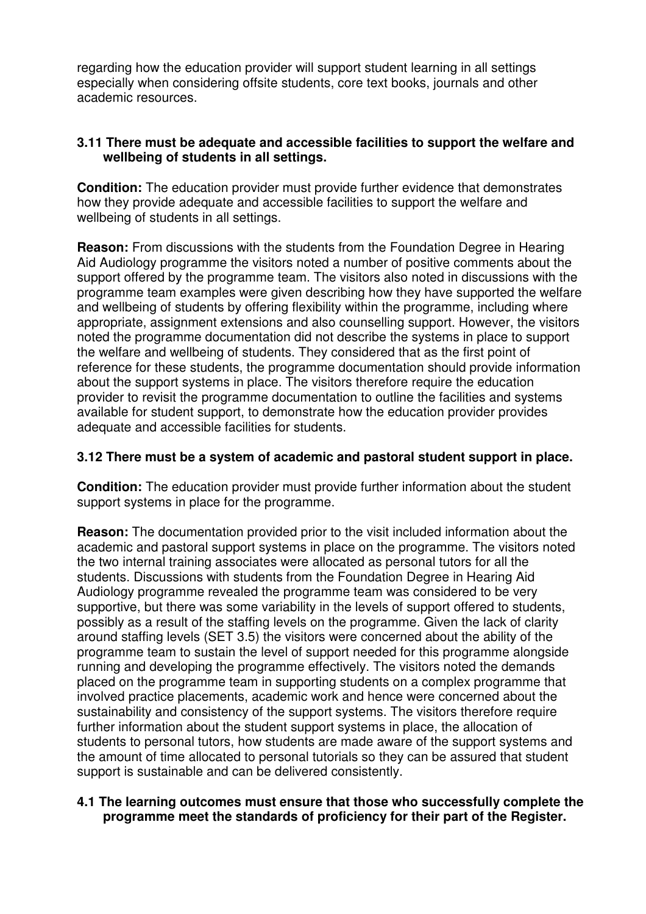regarding how the education provider will support student learning in all settings especially when considering offsite students, core text books, journals and other academic resources.

#### **3.11 There must be adequate and accessible facilities to support the welfare and wellbeing of students in all settings.**

**Condition:** The education provider must provide further evidence that demonstrates how they provide adequate and accessible facilities to support the welfare and wellbeing of students in all settings.

**Reason:** From discussions with the students from the Foundation Degree in Hearing Aid Audiology programme the visitors noted a number of positive comments about the support offered by the programme team. The visitors also noted in discussions with the programme team examples were given describing how they have supported the welfare and wellbeing of students by offering flexibility within the programme, including where appropriate, assignment extensions and also counselling support. However, the visitors noted the programme documentation did not describe the systems in place to support the welfare and wellbeing of students. They considered that as the first point of reference for these students, the programme documentation should provide information about the support systems in place. The visitors therefore require the education provider to revisit the programme documentation to outline the facilities and systems available for student support, to demonstrate how the education provider provides adequate and accessible facilities for students.

#### **3.12 There must be a system of academic and pastoral student support in place.**

**Condition:** The education provider must provide further information about the student support systems in place for the programme.

**Reason:** The documentation provided prior to the visit included information about the academic and pastoral support systems in place on the programme. The visitors noted the two internal training associates were allocated as personal tutors for all the students. Discussions with students from the Foundation Degree in Hearing Aid Audiology programme revealed the programme team was considered to be very supportive, but there was some variability in the levels of support offered to students, possibly as a result of the staffing levels on the programme. Given the lack of clarity around staffing levels (SET 3.5) the visitors were concerned about the ability of the programme team to sustain the level of support needed for this programme alongside running and developing the programme effectively. The visitors noted the demands placed on the programme team in supporting students on a complex programme that involved practice placements, academic work and hence were concerned about the sustainability and consistency of the support systems. The visitors therefore require further information about the student support systems in place, the allocation of students to personal tutors, how students are made aware of the support systems and the amount of time allocated to personal tutorials so they can be assured that student support is sustainable and can be delivered consistently.

#### **4.1 The learning outcomes must ensure that those who successfully complete the programme meet the standards of proficiency for their part of the Register.**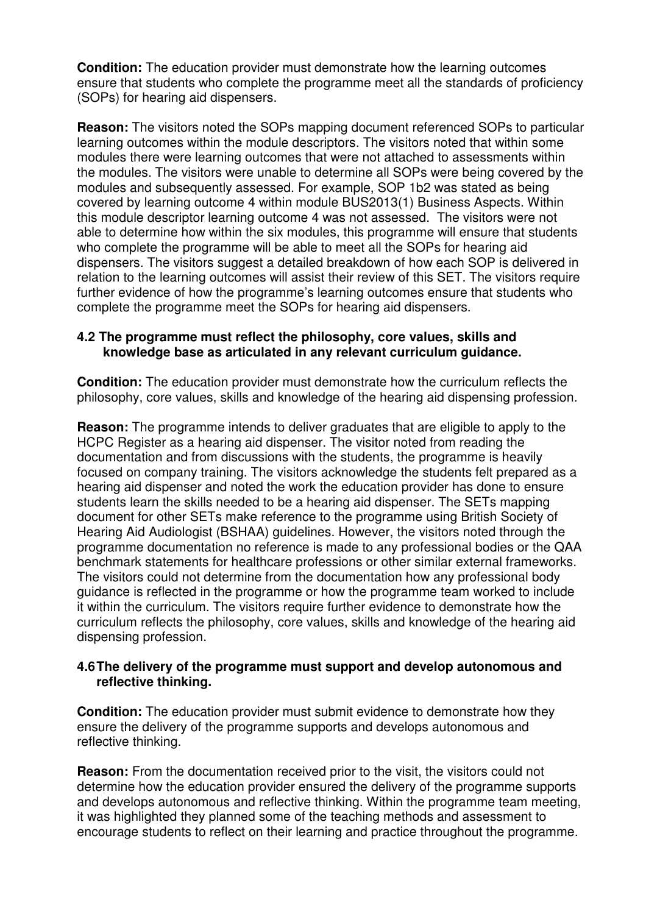**Condition:** The education provider must demonstrate how the learning outcomes ensure that students who complete the programme meet all the standards of proficiency (SOPs) for hearing aid dispensers.

**Reason:** The visitors noted the SOPs mapping document referenced SOPs to particular learning outcomes within the module descriptors. The visitors noted that within some modules there were learning outcomes that were not attached to assessments within the modules. The visitors were unable to determine all SOPs were being covered by the modules and subsequently assessed. For example, SOP 1b2 was stated as being covered by learning outcome 4 within module BUS2013(1) Business Aspects. Within this module descriptor learning outcome 4 was not assessed. The visitors were not able to determine how within the six modules, this programme will ensure that students who complete the programme will be able to meet all the SOPs for hearing aid dispensers. The visitors suggest a detailed breakdown of how each SOP is delivered in relation to the learning outcomes will assist their review of this SET. The visitors require further evidence of how the programme's learning outcomes ensure that students who complete the programme meet the SOPs for hearing aid dispensers.

#### **4.2 The programme must reflect the philosophy, core values, skills and knowledge base as articulated in any relevant curriculum guidance.**

**Condition:** The education provider must demonstrate how the curriculum reflects the philosophy, core values, skills and knowledge of the hearing aid dispensing profession.

**Reason:** The programme intends to deliver graduates that are eligible to apply to the HCPC Register as a hearing aid dispenser. The visitor noted from reading the documentation and from discussions with the students, the programme is heavily focused on company training. The visitors acknowledge the students felt prepared as a hearing aid dispenser and noted the work the education provider has done to ensure students learn the skills needed to be a hearing aid dispenser. The SETs mapping document for other SETs make reference to the programme using British Society of Hearing Aid Audiologist (BSHAA) guidelines. However, the visitors noted through the programme documentation no reference is made to any professional bodies or the QAA benchmark statements for healthcare professions or other similar external frameworks. The visitors could not determine from the documentation how any professional body guidance is reflected in the programme or how the programme team worked to include it within the curriculum. The visitors require further evidence to demonstrate how the curriculum reflects the philosophy, core values, skills and knowledge of the hearing aid dispensing profession.

#### **4.6 The delivery of the programme must support and develop autonomous and reflective thinking.**

**Condition:** The education provider must submit evidence to demonstrate how they ensure the delivery of the programme supports and develops autonomous and reflective thinking.

**Reason:** From the documentation received prior to the visit, the visitors could not determine how the education provider ensured the delivery of the programme supports and develops autonomous and reflective thinking. Within the programme team meeting, it was highlighted they planned some of the teaching methods and assessment to encourage students to reflect on their learning and practice throughout the programme.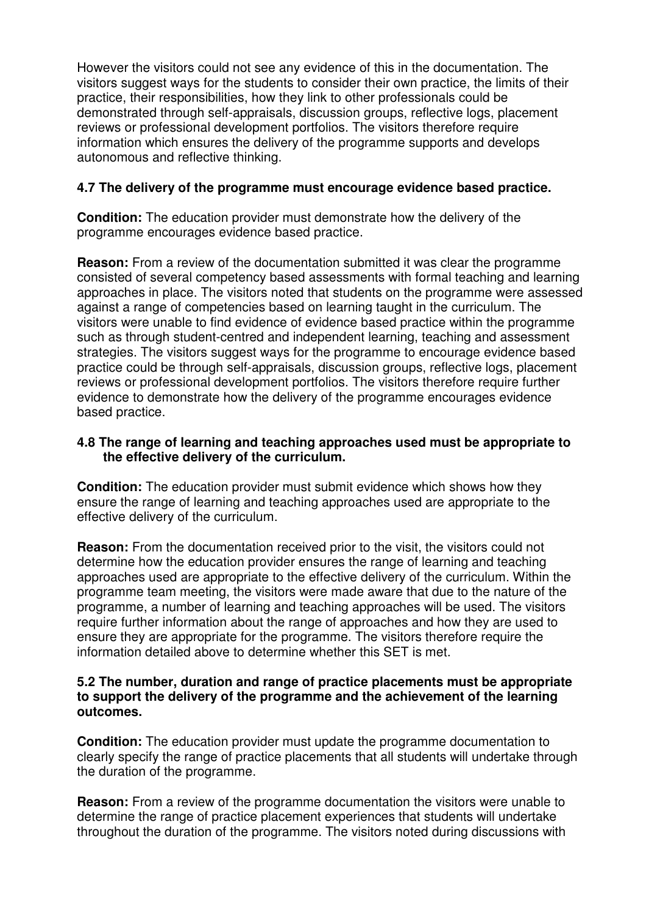However the visitors could not see any evidence of this in the documentation. The visitors suggest ways for the students to consider their own practice, the limits of their practice, their responsibilities, how they link to other professionals could be demonstrated through self-appraisals, discussion groups, reflective logs, placement reviews or professional development portfolios. The visitors therefore require information which ensures the delivery of the programme supports and develops autonomous and reflective thinking.

#### **4.7 The delivery of the programme must encourage evidence based practice.**

**Condition:** The education provider must demonstrate how the delivery of the programme encourages evidence based practice.

**Reason:** From a review of the documentation submitted it was clear the programme consisted of several competency based assessments with formal teaching and learning approaches in place. The visitors noted that students on the programme were assessed against a range of competencies based on learning taught in the curriculum. The visitors were unable to find evidence of evidence based practice within the programme such as through student-centred and independent learning, teaching and assessment strategies. The visitors suggest ways for the programme to encourage evidence based practice could be through self-appraisals, discussion groups, reflective logs, placement reviews or professional development portfolios. The visitors therefore require further evidence to demonstrate how the delivery of the programme encourages evidence based practice.

#### **4.8 The range of learning and teaching approaches used must be appropriate to the effective delivery of the curriculum.**

**Condition:** The education provider must submit evidence which shows how they ensure the range of learning and teaching approaches used are appropriate to the effective delivery of the curriculum.

**Reason:** From the documentation received prior to the visit, the visitors could not determine how the education provider ensures the range of learning and teaching approaches used are appropriate to the effective delivery of the curriculum. Within the programme team meeting, the visitors were made aware that due to the nature of the programme, a number of learning and teaching approaches will be used. The visitors require further information about the range of approaches and how they are used to ensure they are appropriate for the programme. The visitors therefore require the information detailed above to determine whether this SET is met.

#### **5.2 The number, duration and range of practice placements must be appropriate to support the delivery of the programme and the achievement of the learning outcomes.**

**Condition:** The education provider must update the programme documentation to clearly specify the range of practice placements that all students will undertake through the duration of the programme.

**Reason:** From a review of the programme documentation the visitors were unable to determine the range of practice placement experiences that students will undertake throughout the duration of the programme. The visitors noted during discussions with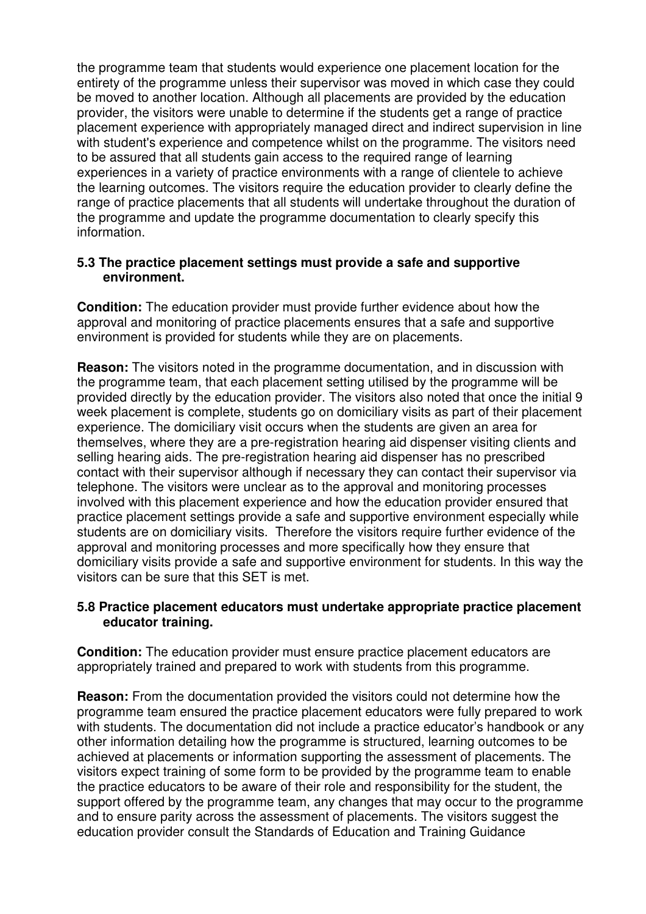the programme team that students would experience one placement location for the entirety of the programme unless their supervisor was moved in which case they could be moved to another location. Although all placements are provided by the education provider, the visitors were unable to determine if the students get a range of practice placement experience with appropriately managed direct and indirect supervision in line with student's experience and competence whilst on the programme. The visitors need to be assured that all students gain access to the required range of learning experiences in a variety of practice environments with a range of clientele to achieve the learning outcomes. The visitors require the education provider to clearly define the range of practice placements that all students will undertake throughout the duration of the programme and update the programme documentation to clearly specify this information.

#### **5.3 The practice placement settings must provide a safe and supportive environment.**

**Condition:** The education provider must provide further evidence about how the approval and monitoring of practice placements ensures that a safe and supportive environment is provided for students while they are on placements.

**Reason:** The visitors noted in the programme documentation, and in discussion with the programme team, that each placement setting utilised by the programme will be provided directly by the education provider. The visitors also noted that once the initial 9 week placement is complete, students go on domiciliary visits as part of their placement experience. The domiciliary visit occurs when the students are given an area for themselves, where they are a pre-registration hearing aid dispenser visiting clients and selling hearing aids. The pre-registration hearing aid dispenser has no prescribed contact with their supervisor although if necessary they can contact their supervisor via telephone. The visitors were unclear as to the approval and monitoring processes involved with this placement experience and how the education provider ensured that practice placement settings provide a safe and supportive environment especially while students are on domiciliary visits. Therefore the visitors require further evidence of the approval and monitoring processes and more specifically how they ensure that domiciliary visits provide a safe and supportive environment for students. In this way the visitors can be sure that this SET is met.

#### **5.8 Practice placement educators must undertake appropriate practice placement educator training.**

**Condition:** The education provider must ensure practice placement educators are appropriately trained and prepared to work with students from this programme.

**Reason:** From the documentation provided the visitors could not determine how the programme team ensured the practice placement educators were fully prepared to work with students. The documentation did not include a practice educator's handbook or any other information detailing how the programme is structured, learning outcomes to be achieved at placements or information supporting the assessment of placements. The visitors expect training of some form to be provided by the programme team to enable the practice educators to be aware of their role and responsibility for the student, the support offered by the programme team, any changes that may occur to the programme and to ensure parity across the assessment of placements. The visitors suggest the education provider consult the Standards of Education and Training Guidance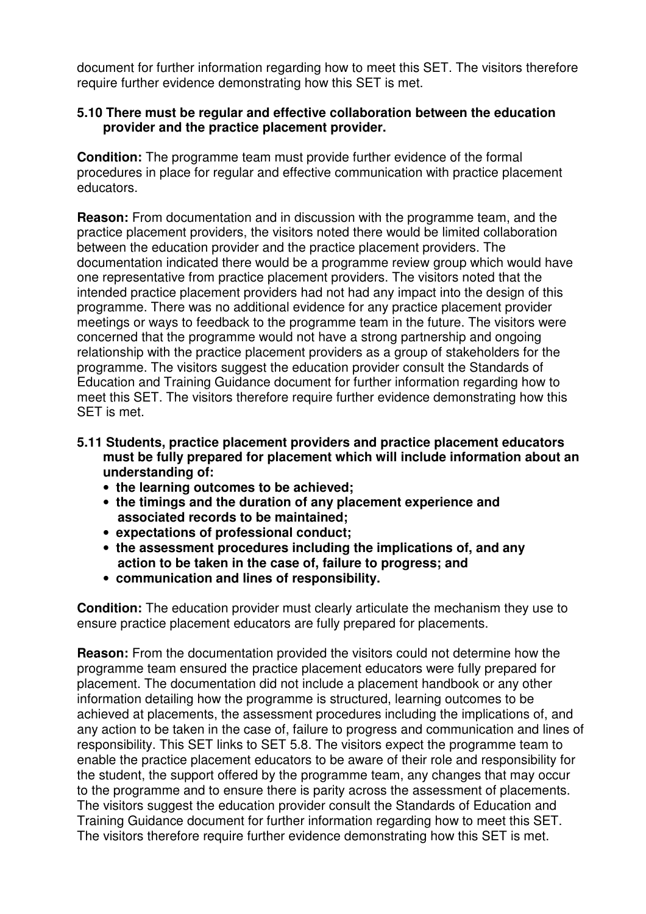document for further information regarding how to meet this SET. The visitors therefore require further evidence demonstrating how this SET is met.

#### **5.10 There must be regular and effective collaboration between the education provider and the practice placement provider.**

**Condition:** The programme team must provide further evidence of the formal procedures in place for regular and effective communication with practice placement educators.

**Reason:** From documentation and in discussion with the programme team, and the practice placement providers, the visitors noted there would be limited collaboration between the education provider and the practice placement providers. The documentation indicated there would be a programme review group which would have one representative from practice placement providers. The visitors noted that the intended practice placement providers had not had any impact into the design of this programme. There was no additional evidence for any practice placement provider meetings or ways to feedback to the programme team in the future. The visitors were concerned that the programme would not have a strong partnership and ongoing relationship with the practice placement providers as a group of stakeholders for the programme. The visitors suggest the education provider consult the Standards of Education and Training Guidance document for further information regarding how to meet this SET. The visitors therefore require further evidence demonstrating how this SET is met.

- **5.11 Students, practice placement providers and practice placement educators must be fully prepared for placement which will include information about an understanding of:** 
	- **the learning outcomes to be achieved;**
	- **the timings and the duration of any placement experience and associated records to be maintained;**
	- **expectations of professional conduct;**
	- **the assessment procedures including the implications of, and any action to be taken in the case of, failure to progress; and**
	- **communication and lines of responsibility.**

**Condition:** The education provider must clearly articulate the mechanism they use to ensure practice placement educators are fully prepared for placements.

**Reason:** From the documentation provided the visitors could not determine how the programme team ensured the practice placement educators were fully prepared for placement. The documentation did not include a placement handbook or any other information detailing how the programme is structured, learning outcomes to be achieved at placements, the assessment procedures including the implications of, and any action to be taken in the case of, failure to progress and communication and lines of responsibility. This SET links to SET 5.8. The visitors expect the programme team to enable the practice placement educators to be aware of their role and responsibility for the student, the support offered by the programme team, any changes that may occur to the programme and to ensure there is parity across the assessment of placements. The visitors suggest the education provider consult the Standards of Education and Training Guidance document for further information regarding how to meet this SET. The visitors therefore require further evidence demonstrating how this SET is met.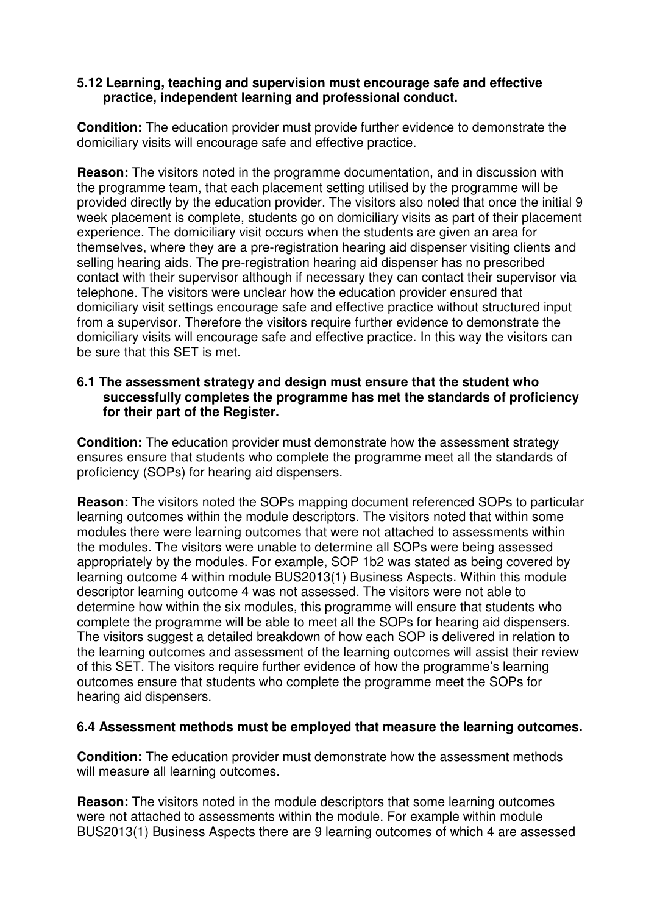#### **5.12 Learning, teaching and supervision must encourage safe and effective practice, independent learning and professional conduct.**

**Condition:** The education provider must provide further evidence to demonstrate the domiciliary visits will encourage safe and effective practice.

**Reason:** The visitors noted in the programme documentation, and in discussion with the programme team, that each placement setting utilised by the programme will be provided directly by the education provider. The visitors also noted that once the initial 9 week placement is complete, students go on domiciliary visits as part of their placement experience. The domiciliary visit occurs when the students are given an area for themselves, where they are a pre-registration hearing aid dispenser visiting clients and selling hearing aids. The pre-registration hearing aid dispenser has no prescribed contact with their supervisor although if necessary they can contact their supervisor via telephone. The visitors were unclear how the education provider ensured that domiciliary visit settings encourage safe and effective practice without structured input from a supervisor. Therefore the visitors require further evidence to demonstrate the domiciliary visits will encourage safe and effective practice. In this way the visitors can be sure that this SET is met.

#### **6.1 The assessment strategy and design must ensure that the student who successfully completes the programme has met the standards of proficiency for their part of the Register.**

**Condition:** The education provider must demonstrate how the assessment strategy ensures ensure that students who complete the programme meet all the standards of proficiency (SOPs) for hearing aid dispensers.

**Reason:** The visitors noted the SOPs mapping document referenced SOPs to particular learning outcomes within the module descriptors. The visitors noted that within some modules there were learning outcomes that were not attached to assessments within the modules. The visitors were unable to determine all SOPs were being assessed appropriately by the modules. For example, SOP 1b2 was stated as being covered by learning outcome 4 within module BUS2013(1) Business Aspects. Within this module descriptor learning outcome 4 was not assessed. The visitors were not able to determine how within the six modules, this programme will ensure that students who complete the programme will be able to meet all the SOPs for hearing aid dispensers. The visitors suggest a detailed breakdown of how each SOP is delivered in relation to the learning outcomes and assessment of the learning outcomes will assist their review of this SET. The visitors require further evidence of how the programme's learning outcomes ensure that students who complete the programme meet the SOPs for hearing aid dispensers.

## **6.4 Assessment methods must be employed that measure the learning outcomes.**

**Condition:** The education provider must demonstrate how the assessment methods will measure all learning outcomes.

**Reason:** The visitors noted in the module descriptors that some learning outcomes were not attached to assessments within the module. For example within module BUS2013(1) Business Aspects there are 9 learning outcomes of which 4 are assessed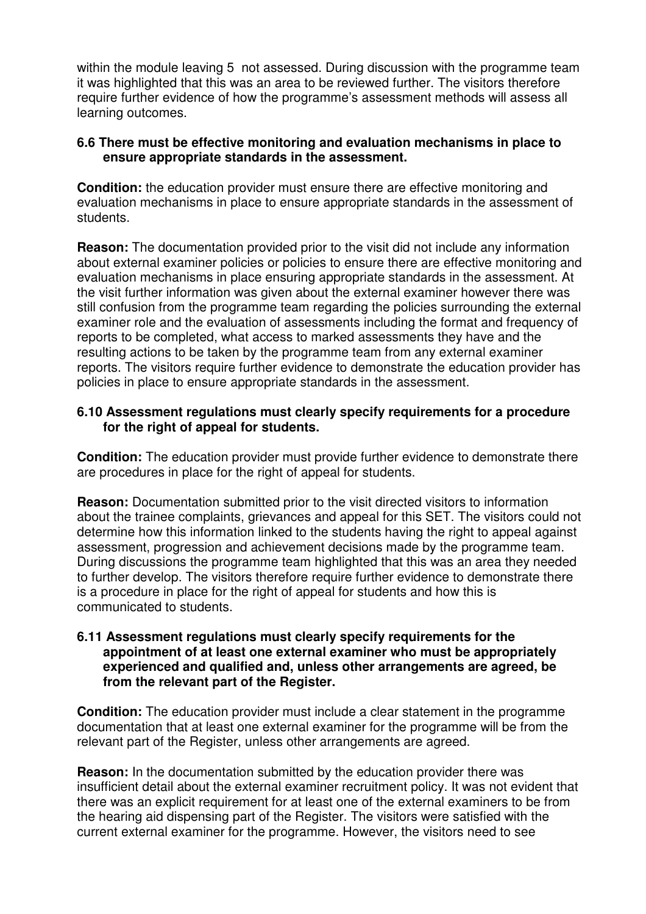within the module leaving 5 not assessed. During discussion with the programme team it was highlighted that this was an area to be reviewed further. The visitors therefore require further evidence of how the programme's assessment methods will assess all learning outcomes.

#### **6.6 There must be effective monitoring and evaluation mechanisms in place to ensure appropriate standards in the assessment.**

**Condition:** the education provider must ensure there are effective monitoring and evaluation mechanisms in place to ensure appropriate standards in the assessment of students.

**Reason:** The documentation provided prior to the visit did not include any information about external examiner policies or policies to ensure there are effective monitoring and evaluation mechanisms in place ensuring appropriate standards in the assessment. At the visit further information was given about the external examiner however there was still confusion from the programme team regarding the policies surrounding the external examiner role and the evaluation of assessments including the format and frequency of reports to be completed, what access to marked assessments they have and the resulting actions to be taken by the programme team from any external examiner reports. The visitors require further evidence to demonstrate the education provider has policies in place to ensure appropriate standards in the assessment.

#### **6.10 Assessment regulations must clearly specify requirements for a procedure for the right of appeal for students.**

**Condition:** The education provider must provide further evidence to demonstrate there are procedures in place for the right of appeal for students.

**Reason:** Documentation submitted prior to the visit directed visitors to information about the trainee complaints, grievances and appeal for this SET. The visitors could not determine how this information linked to the students having the right to appeal against assessment, progression and achievement decisions made by the programme team. During discussions the programme team highlighted that this was an area they needed to further develop. The visitors therefore require further evidence to demonstrate there is a procedure in place for the right of appeal for students and how this is communicated to students.

#### **6.11 Assessment regulations must clearly specify requirements for the appointment of at least one external examiner who must be appropriately experienced and qualified and, unless other arrangements are agreed, be from the relevant part of the Register.**

**Condition:** The education provider must include a clear statement in the programme documentation that at least one external examiner for the programme will be from the relevant part of the Register, unless other arrangements are agreed.

**Reason:** In the documentation submitted by the education provider there was insufficient detail about the external examiner recruitment policy. It was not evident that there was an explicit requirement for at least one of the external examiners to be from the hearing aid dispensing part of the Register. The visitors were satisfied with the current external examiner for the programme. However, the visitors need to see